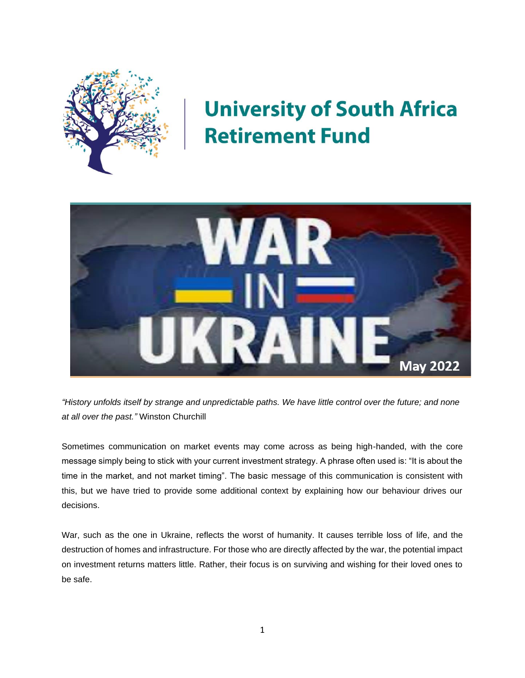

# **University of South Africa Retirement Fund**



*"History unfolds itself by strange and unpredictable paths. We have little control over the future; and none at all over the past."* Winston Churchill

Sometimes communication on market events may come across as being high-handed, with the core message simply being to stick with your current investment strategy. A phrase often used is: "It is about the time in the market, and not market timing". The basic message of this communication is consistent with this, but we have tried to provide some additional context by explaining how our behaviour drives our decisions.

War, such as the one in Ukraine, reflects the worst of humanity. It causes terrible loss of life, and the destruction of homes and infrastructure. For those who are directly affected by the war, the potential impact on investment returns matters little. Rather, their focus is on surviving and wishing for their loved ones to be safe.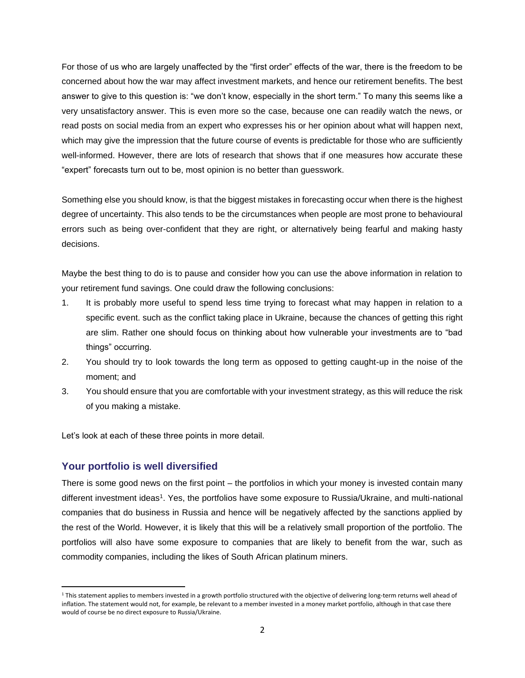For those of us who are largely unaffected by the "first order" effects of the war, there is the freedom to be concerned about how the war may affect investment markets, and hence our retirement benefits. The best answer to give to this question is: "we don't know, especially in the short term." To many this seems like a very unsatisfactory answer. This is even more so the case, because one can readily watch the news, or read posts on social media from an expert who expresses his or her opinion about what will happen next, which may give the impression that the future course of events is predictable for those who are sufficiently well-informed. However, there are lots of research that shows that if one measures how accurate these "expert" forecasts turn out to be, most opinion is no better than guesswork.

Something else you should know, is that the biggest mistakes in forecasting occur when there is the highest degree of uncertainty. This also tends to be the circumstances when people are most prone to behavioural errors such as being over-confident that they are right, or alternatively being fearful and making hasty decisions.

Maybe the best thing to do is to pause and consider how you can use the above information in relation to your retirement fund savings. One could draw the following conclusions:

- 1. It is probably more useful to spend less time trying to forecast what may happen in relation to a specific event. such as the conflict taking place in Ukraine, because the chances of getting this right are slim. Rather one should focus on thinking about how vulnerable your investments are to "bad things" occurring.
- 2. You should try to look towards the long term as opposed to getting caught-up in the noise of the moment; and
- 3. You should ensure that you are comfortable with your investment strategy, as this will reduce the risk of you making a mistake.

Let's look at each of these three points in more detail.

## **Your portfolio is well diversified**

There is some good news on the first point – the portfolios in which your money is invested contain many different investment ideas<sup>1</sup>. Yes, the portfolios have some exposure to Russia/Ukraine, and multi-national companies that do business in Russia and hence will be negatively affected by the sanctions applied by the rest of the World. However, it is likely that this will be a relatively small proportion of the portfolio. The portfolios will also have some exposure to companies that are likely to benefit from the war, such as commodity companies, including the likes of South African platinum miners.

<sup>&</sup>lt;sup>1</sup> This statement applies to members invested in a growth portfolio structured with the objective of delivering long-term returns well ahead of inflation. The statement would not, for example, be relevant to a member invested in a money market portfolio, although in that case there would of course be no direct exposure to Russia/Ukraine.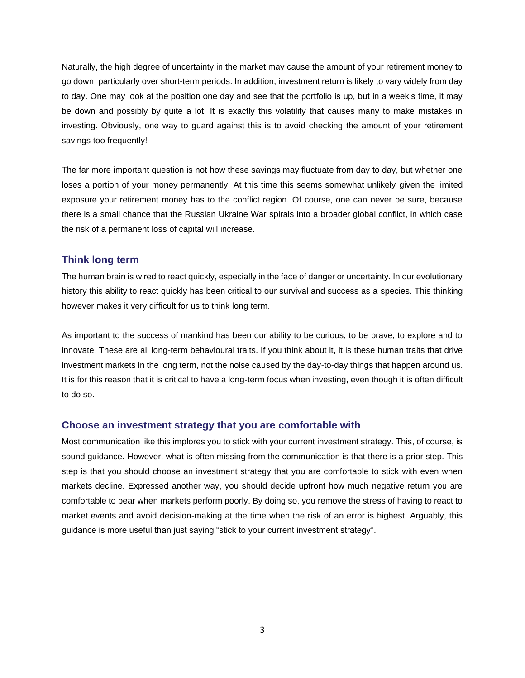Naturally, the high degree of uncertainty in the market may cause the amount of your retirement money to go down, particularly over short-term periods. In addition, investment return is likely to vary widely from day to day. One may look at the position one day and see that the portfolio is up, but in a week's time, it may be down and possibly by quite a lot. It is exactly this volatility that causes many to make mistakes in investing. Obviously, one way to guard against this is to avoid checking the amount of your retirement savings too frequently!

The far more important question is not how these savings may fluctuate from day to day, but whether one loses a portion of your money permanently. At this time this seems somewhat unlikely given the limited exposure your retirement money has to the conflict region. Of course, one can never be sure, because there is a small chance that the Russian Ukraine War spirals into a broader global conflict, in which case the risk of a permanent loss of capital will increase.

### **Think long term**

The human brain is wired to react quickly, especially in the face of danger or uncertainty. In our evolutionary history this ability to react quickly has been critical to our survival and success as a species. This thinking however makes it very difficult for us to think long term.

As important to the success of mankind has been our ability to be curious, to be brave, to explore and to innovate. These are all long-term behavioural traits. If you think about it, it is these human traits that drive investment markets in the long term, not the noise caused by the day-to-day things that happen around us. It is for this reason that it is critical to have a long-term focus when investing, even though it is often difficult to do so.

#### **Choose an investment strategy that you are comfortable with**

Most communication like this implores you to stick with your current investment strategy. This, of course, is sound guidance. However, what is often missing from the communication is that there is a prior step. This step is that you should choose an investment strategy that you are comfortable to stick with even when markets decline. Expressed another way, you should decide upfront how much negative return you are comfortable to bear when markets perform poorly. By doing so, you remove the stress of having to react to market events and avoid decision-making at the time when the risk of an error is highest. Arguably, this guidance is more useful than just saying "stick to your current investment strategy".